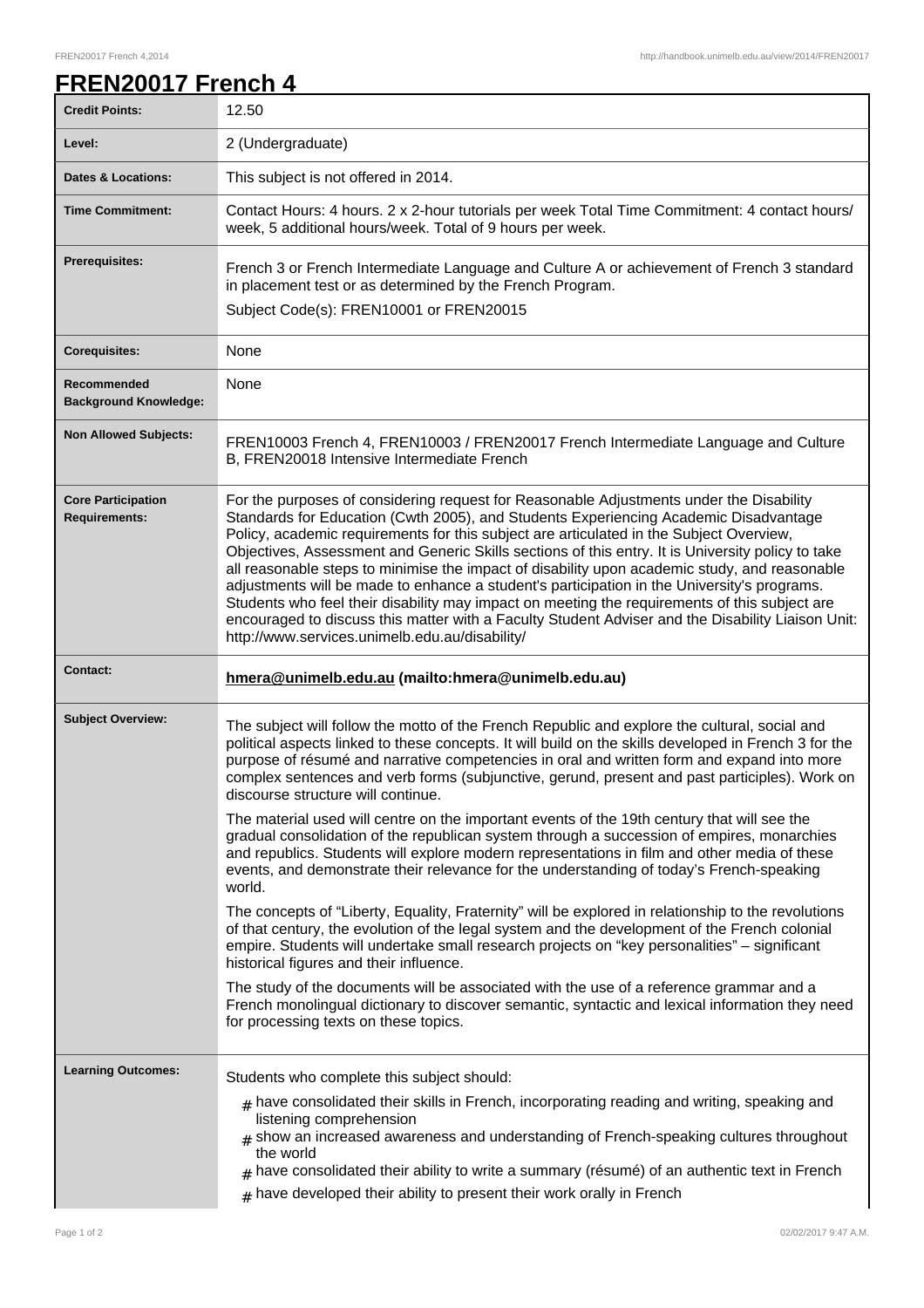## **FREN20017 French 4**

| <b>Credit Points:</b>                             | 12.50                                                                                                                                                                                                                                                                                                                                                                                                                                                                                                                                                                                                                                                                                                                                                                                                                                   |
|---------------------------------------------------|-----------------------------------------------------------------------------------------------------------------------------------------------------------------------------------------------------------------------------------------------------------------------------------------------------------------------------------------------------------------------------------------------------------------------------------------------------------------------------------------------------------------------------------------------------------------------------------------------------------------------------------------------------------------------------------------------------------------------------------------------------------------------------------------------------------------------------------------|
| Level:                                            | 2 (Undergraduate)                                                                                                                                                                                                                                                                                                                                                                                                                                                                                                                                                                                                                                                                                                                                                                                                                       |
| <b>Dates &amp; Locations:</b>                     | This subject is not offered in 2014.                                                                                                                                                                                                                                                                                                                                                                                                                                                                                                                                                                                                                                                                                                                                                                                                    |
| <b>Time Commitment:</b>                           | Contact Hours: 4 hours. 2 x 2-hour tutorials per week Total Time Commitment: 4 contact hours/<br>week, 5 additional hours/week. Total of 9 hours per week.                                                                                                                                                                                                                                                                                                                                                                                                                                                                                                                                                                                                                                                                              |
| <b>Prerequisites:</b>                             | French 3 or French Intermediate Language and Culture A or achievement of French 3 standard<br>in placement test or as determined by the French Program.                                                                                                                                                                                                                                                                                                                                                                                                                                                                                                                                                                                                                                                                                 |
|                                                   | Subject Code(s): FREN10001 or FREN20015                                                                                                                                                                                                                                                                                                                                                                                                                                                                                                                                                                                                                                                                                                                                                                                                 |
| <b>Corequisites:</b>                              | None                                                                                                                                                                                                                                                                                                                                                                                                                                                                                                                                                                                                                                                                                                                                                                                                                                    |
| Recommended<br><b>Background Knowledge:</b>       | None                                                                                                                                                                                                                                                                                                                                                                                                                                                                                                                                                                                                                                                                                                                                                                                                                                    |
| <b>Non Allowed Subjects:</b>                      | FREN10003 French 4, FREN10003 / FREN20017 French Intermediate Language and Culture<br>B, FREN20018 Intensive Intermediate French                                                                                                                                                                                                                                                                                                                                                                                                                                                                                                                                                                                                                                                                                                        |
| <b>Core Participation</b><br><b>Requirements:</b> | For the purposes of considering request for Reasonable Adjustments under the Disability<br>Standards for Education (Cwth 2005), and Students Experiencing Academic Disadvantage<br>Policy, academic requirements for this subject are articulated in the Subject Overview,<br>Objectives, Assessment and Generic Skills sections of this entry. It is University policy to take<br>all reasonable steps to minimise the impact of disability upon academic study, and reasonable<br>adjustments will be made to enhance a student's participation in the University's programs.<br>Students who feel their disability may impact on meeting the requirements of this subject are<br>encouraged to discuss this matter with a Faculty Student Adviser and the Disability Liaison Unit:<br>http://www.services.unimelb.edu.au/disability/ |
|                                                   |                                                                                                                                                                                                                                                                                                                                                                                                                                                                                                                                                                                                                                                                                                                                                                                                                                         |
| <b>Contact:</b>                                   | hmera@unimelb.edu.au (mailto:hmera@unimelb.edu.au)                                                                                                                                                                                                                                                                                                                                                                                                                                                                                                                                                                                                                                                                                                                                                                                      |
| <b>Subject Overview:</b>                          | The subject will follow the motto of the French Republic and explore the cultural, social and<br>political aspects linked to these concepts. It will build on the skills developed in French 3 for the<br>purpose of résumé and narrative competencies in oral and written form and expand into more<br>complex sentences and verb forms (subjunctive, gerund, present and past participles). Work on<br>discourse structure will continue.                                                                                                                                                                                                                                                                                                                                                                                             |
|                                                   | The material used will centre on the important events of the 19th century that will see the<br>gradual consolidation of the republican system through a succession of empires, monarchies<br>and republics. Students will explore modern representations in film and other media of these<br>events, and demonstrate their relevance for the understanding of today's French-speaking<br>world.                                                                                                                                                                                                                                                                                                                                                                                                                                         |
|                                                   | The concepts of "Liberty, Equality, Fraternity" will be explored in relationship to the revolutions<br>of that century, the evolution of the legal system and the development of the French colonial<br>empire. Students will undertake small research projects on "key personalities" - significant<br>historical figures and their influence.                                                                                                                                                                                                                                                                                                                                                                                                                                                                                         |
|                                                   | The study of the documents will be associated with the use of a reference grammar and a<br>French monolingual dictionary to discover semantic, syntactic and lexical information they need<br>for processing texts on these topics.                                                                                                                                                                                                                                                                                                                                                                                                                                                                                                                                                                                                     |
| <b>Learning Outcomes:</b>                         | Students who complete this subject should:                                                                                                                                                                                                                                                                                                                                                                                                                                                                                                                                                                                                                                                                                                                                                                                              |
|                                                   | $#$ have consolidated their skills in French, incorporating reading and writing, speaking and<br>listening comprehension<br>$_{\texttt{\#}}$ show an increased awareness and understanding of French-speaking cultures throughout<br>the world<br>have consolidated their ability to write a summary (résumé) of an authentic text in French<br>#<br>have developed their ability to present their work orally in French                                                                                                                                                                                                                                                                                                                                                                                                                |